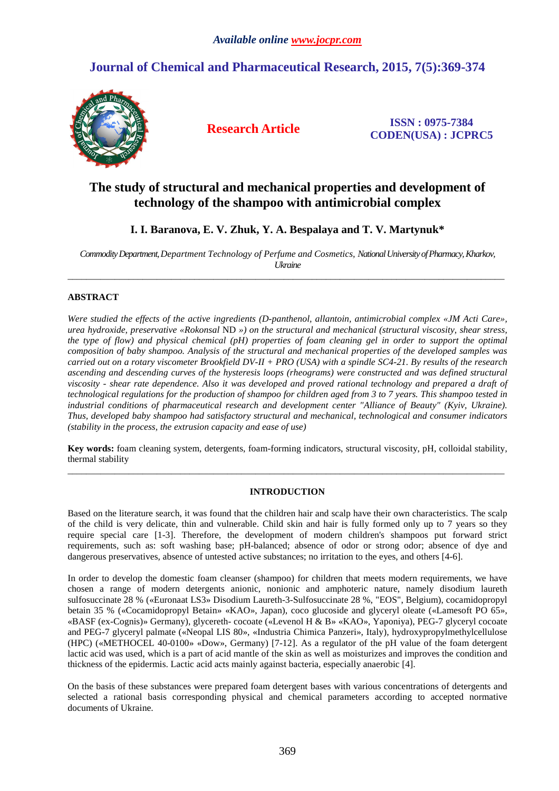# **Journal of Chemical and Pharmaceutical Research, 2015, 7(5):369-374**



**Research Article ISSN : 0975-7384 CODEN(USA) : JCPRC5**

# **The study of structural and mechanical properties and development of technology of the shampoo with antimicrobial complex**

# **I. I. Baranova, E. V. Zhuk, Y. A. Bespalaya and T. V. Martynuk\***

*Commodity Department, Department Technology of Perfume and Cosmetics, National University of Pharmacy, Kharkov, Ukraine*   $\overline{a}$  , and the contribution of the contribution of the contribution of the contribution of the contribution of the contribution of the contribution of the contribution of the contribution of the contribution of the co

# **ABSTRACT**

*Were studied the effects of the active ingredients (D-panthenol, allantoin, antimicrobial complex «JM Acti Care», urea hydroxide, preservative «Rokonsal* ND *») on the structural and mechanical (structural viscosity, shear stress, the type of flow) and physical chemical (pH) properties of foam cleaning gel in order to support the optimal composition of baby shampoo. Analysis of the structural and mechanical properties of the developed samples was carried out on a rotary viscometer Brookfield DV-II + PRO (USA) with a spindle SC4-21. By results of the research ascending and descending curves of the hysteresis loops (rheograms) were constructed and was defined structural viscosity - shear rate dependence. Also it was developed and proved rational technology and prepared a draft of technological regulations for the production of shampoo for children aged from 3 to 7 years. This shampoo tested in*  industrial conditions of pharmaceutical research and development center "Alliance of Beauty" (Kyiv, Ukraine). *Thus, developed baby shampoo had satisfactory structural and mechanical, technological and consumer indicators (stability in the process, the extrusion capacity and ease of use)* 

**Key words:** foam cleaning system, detergents, foam-forming indicators, structural viscosity, pH, colloidal stability, thermal stability \_\_\_\_\_\_\_\_\_\_\_\_\_\_\_\_\_\_\_\_\_\_\_\_\_\_\_\_\_\_\_\_\_\_\_\_\_\_\_\_\_\_\_\_\_\_\_\_\_\_\_\_\_\_\_\_\_\_\_\_\_\_\_\_\_\_\_\_\_\_\_\_\_\_\_\_\_\_\_\_\_\_\_\_\_\_\_\_\_\_\_\_\_

# **INTRODUCTION**

Based on the literature search, it was found that the children hair and scalp have their own characteristics. The scalp of the child is very delicate, thin and vulnerable. Child skin and hair is fully formed only up to 7 years so they require special care [1-3]. Therefore, the development of modern children's shampoos put forward strict requirements, such as: soft washing base; pH-balanced; absence of odor or strong odor; absence of dye and dangerous preservatives, absence of untested active substances; no irritation to the eyes, and others [4-6].

In order to develop the domestic foam cleanser (shampoo) for children that meets modern requirements, we have chosen a range of modern detergents anionic, nonionic and amphoteric nature, namely disodium laureth sulfosuccinate 28 % («Euronaat LS3» Disodium Laureth-3-Sulfosuccinate 28 %, "EOS", Belgium), cocamidopropyl betain 35 % («Cocamidopropyl Betain» «KAO», Japan), coco glucoside and glyceryl oleate («Lamesoft PO 65», «BASF (ex-Cognis)» Germany), glycereth- cocoate («Levenol H & B» «KAO», Yaponіya), PEG-7 glyceryl cocoate and PEG-7 glyceryl palmate («Neopal LIS 80», «Industria Chimica Panzeri», Italy), hydroxypropylmethylcellulose (HPC) («METHOCEL 40-0100» «Dow», Germany) [7-12]. As a regulator of the pH value of the foam detergent lactic acid was used, which is a part of acid mantle of the skin as well as moisturizes and improves the condition and thickness of the epidermis. Lactic acid acts mainly against bacteria, especially anaerobic [4].

On the basis of these substances were prepared foam detergent bases with various concentrations of detergents and selected a rational basis corresponding physical and chemical parameters according to accepted normative documents of Ukraine.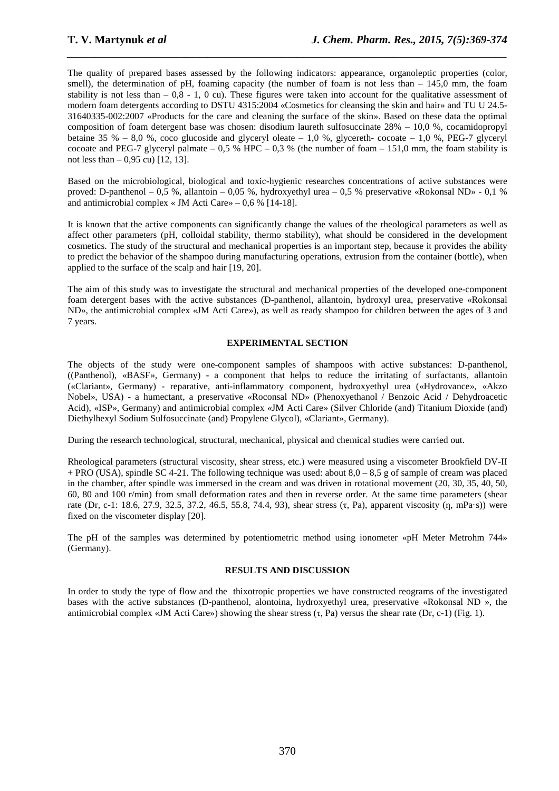The quality of prepared bases assessed by the following indicators: appearance, organoleptic properties (color, smell), the determination of pH, foaming capacity (the number of foam is not less than  $-145,0$  mm, the foam stability is not less than  $-0.8 - 1$ , 0 cu). These figures were taken into account for the qualitative assessment of modern foam detergents according to DSTU 4315:2004 «Cosmetics for cleansing the skin and hair» and TU U 24.5- 31640335-002:2007 «Products for the care and cleaning the surface of the skin». Based on these data the optimal composition of foam detergent base was chosen: disodium laureth sulfosuccinate 28% – 10,0 %, cocamidopropyl betaine 35 % – 8,0 %, coco glucoside and glyceryl oleate – 1,0 %, glycereth- cocoate – 1,0 %, PEG-7 glyceryl cocoate and PEG-7 glyceryl palmate – 0,5 % HPC – 0,3 % (the number of foam – 151,0 mm, the foam stability is not less than  $-0.95$  cu) [12, 13].

*\_\_\_\_\_\_\_\_\_\_\_\_\_\_\_\_\_\_\_\_\_\_\_\_\_\_\_\_\_\_\_\_\_\_\_\_\_\_\_\_\_\_\_\_\_\_\_\_\_\_\_\_\_\_\_\_\_\_\_\_\_\_\_\_\_\_\_\_\_\_\_\_\_\_\_\_\_\_*

Based on the microbiological, biological and toxic-hygienic researches concentrations of active substances were proved: D-panthenol – 0,5 %, allantoin – 0,05 %, hydroxyethyl urea – 0,5 % preservative «Rokonsal ND» - 0,1 % and antimicrobial complex « JM Acti Care» – 0,6 % [14-18].

It is known that the active components can significantly change the values of the rheological parameters as well as affect other parameters (pH, colloidal stability, thermo stability), what should be considered in the development cosmetics. The study of the structural and mechanical properties is an important step, because it provides the ability to predict the behavior of the shampoo during manufacturing operations, extrusion from the container (bottle), when applied to the surface of the scalp and hair [19, 20].

The aim of this study was to investigate the structural and mechanical properties of the developed one-component foam detergent bases with the active substances (D-panthenol, allantoin, hydroxyl urea, preservative «Rokonsal ND», the antimicrobial complex «JM Acti Care»), as well as ready shampoo for children between the ages of 3 and 7 years.

### **EXPERIMENTAL SECTION**

The objects of the study were one-component samples of shampoos with active substances: D-panthenol, ((Panthenol), «BASF», Germany) - a component that helps to reduce the irritating of surfactants, allantoin («Clariant», Germany) - reparative, anti-inflammatory component, hydroxyethyl urea («Hydrovance», «Akzo Nobel», USA) - a humectant, a preservative «Roconsal ND» (Phenoxyethanol / Benzoic Acid / Dehydroacetic Acid), «ISP», Germany) and antimicrobial complex «JM Acti Care» (Silver Chloride (and) Titanium Dioxide (and) Diethylhexyl Sodium Sulfosuccinate (and) Propylene Glycol), «Clariant», Germany).

During the research technological, structural, mechanical, physical and chemical studies were carried out.

Rheological parameters (structural viscosity, shear stress, etc.) were measured using a viscometer Brookfield DV-II + PRO (USA), spindle SC 4-21. The following technique was used: about  $8,0 - 8,5$  g of sample of cream was placed in the chamber, after spindle was immersed in the cream and was driven in rotational movement (20, 30, 35, 40, 50, 60, 80 and 100 r/min) from small deformation rates and then in reverse order. At the same time parameters (shear rate (Dr, c-1: 18.6, 27.9, 32.5, 37.2, 46.5, 55.8, 74.4, 93), shear stress (τ, Pa), apparent viscosity (η, mPa·s)) were fixed on the viscometer display [20].

The pH of the samples was determined by potentiometric method using ionometer «pH Meter Metrohm 744» (Germany).

#### **RESULTS AND DISCUSSION**

In order to study the type of flow and the thixotropic properties we have constructed reograms of the investigated bases with the active substances (D-panthenol, alontoina, hydroxyethyl urea, preservative «Rokonsal ND », the antimicrobial complex «JM Acti Care») showing the shear stress (τ, Pa) versus the shear rate (Dr, c-1) (Fig. 1).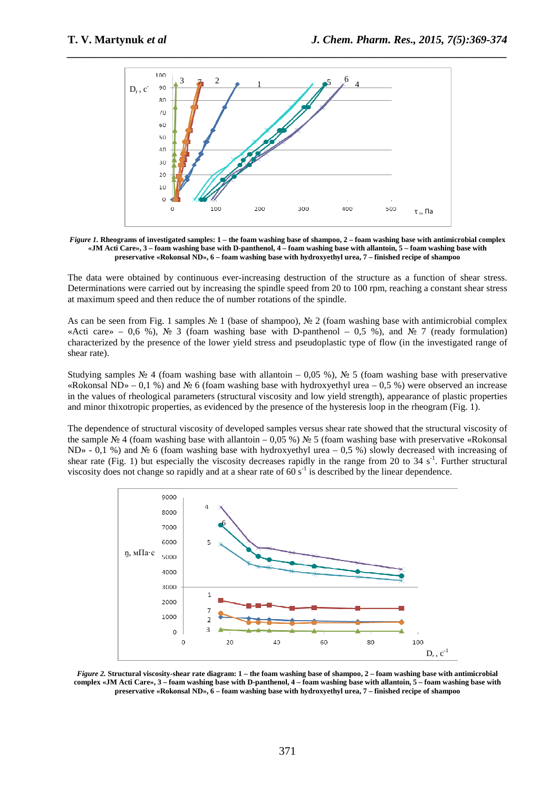

*Figure 1.* **Rheograms of investigated samples: 1 – the foam washing base of shampoo, 2 – foam washing base with antimicrobial complex «JM Acti Care», 3 – foam washing base with D-panthenol, 4 – foam washing base with allantoin, 5 – foam washing base with preservative «Rokonsal ND», 6 – foam washing base with hydroxyethyl urea, 7 – finished recipe of shampoo** 

The data were obtained by continuous ever-increasing destruction of the structure as a function of shear stress. Determinations were carried out by increasing the spindle speed from 20 to 100 rpm, reaching a constant shear stress at maximum speed and then reduce the of number rotations of the spindle.

As can be seen from Fig. 1 samples № 1 (base of shampoo), № 2 (foam washing base with antimicrobial complex «Acti care» – 0,6 %), № 3 (foam washing base with D-panthenol – 0,5 %), and № 7 (ready formulation) characterized by the presence of the lower yield stress and pseudoplastic type of flow (in the investigated range of shear rate).

Studying samples  $\mathcal{N}_2$  4 (foam washing base with allantoin – 0,05 %),  $\mathcal{N}_2$  5 (foam washing base with preservative «Rokonsal ND» – 0,1 %) and № 6 (foam washing base with hydroxyethyl urea – 0,5 %) were observed an increase in the values of rheological parameters (structural viscosity and low yield strength), appearance of plastic properties and minor thixotropic properties, as evidenced by the presence of the hysteresis loop in the rheogram (Fig. 1).

The dependence of structural viscosity of developed samples versus shear rate showed that the structural viscosity of the sample  $\mathbb{N}^2$  4 (foam washing base with allantoin – 0,05 %)  $\mathbb{N}^2$  5 (foam washing base with preservative «Rokonsal ND» - 0,1 %) and № 6 (foam washing base with hydroxyethyl urea – 0,5 %) slowly decreased with increasing of shear rate (Fig. 1) but especially the viscosity decreases rapidly in the range from 20 to 34 s<sup>-1</sup>. Further structural viscosity does not change so rapidly and at a shear rate of 60  $s^{-1}$  is described by the linear dependence.



*Figure 2.* **Structural viscosity-shear rate diagram: 1 – the foam washing base of shampoo, 2 – foam washing base with antimicrobial complex «JM Acti Care», 3 – foam washing base with D-panthenol, 4 – foam washing base with allantoin, 5 – foam washing base with preservative «Rokonsal ND», 6 – foam washing base with hydroxyethyl urea, 7 – finished recipe of shampoo**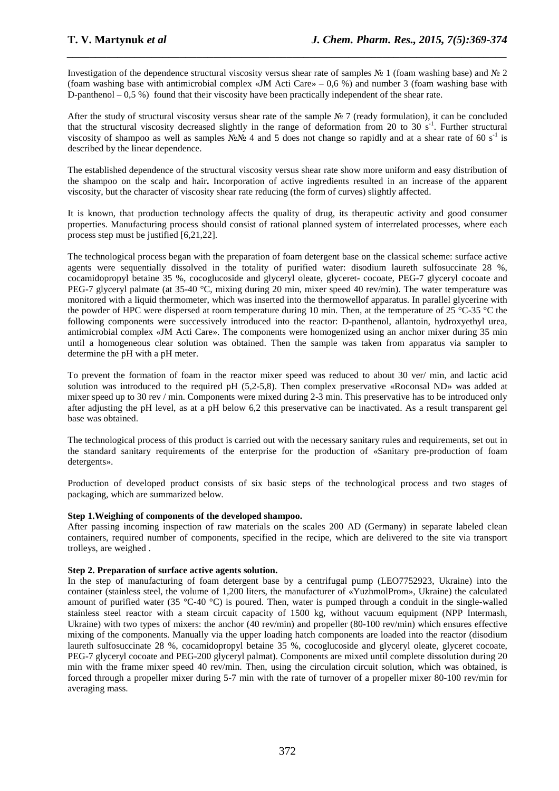Investigation of the dependence structural viscosity versus shear rate of samples № 1 (foam washing base) and № 2 (foam washing base with antimicrobial complex «JM Acti Care» – 0,6 %) and number 3 (foam washing base with D-panthenol – 0,5 %) found that their viscosity have been practically independent of the shear rate.

*\_\_\_\_\_\_\_\_\_\_\_\_\_\_\_\_\_\_\_\_\_\_\_\_\_\_\_\_\_\_\_\_\_\_\_\_\_\_\_\_\_\_\_\_\_\_\_\_\_\_\_\_\_\_\_\_\_\_\_\_\_\_\_\_\_\_\_\_\_\_\_\_\_\_\_\_\_\_*

After the study of structural viscosity versus shear rate of the sample № 7 (ready formulation), it can be concluded that the structural viscosity decreased slightly in the range of deformation from 20 to 30 s<sup>-1</sup>. Further structural viscosity of shampoo as well as samples  $N_{\text{e}}N_{\text{e}}$  4 and 5 does not change so rapidly and at a shear rate of 60 s<sup>-1</sup> is described by the linear dependence.

The established dependence of the structural viscosity versus shear rate show more uniform and easy distribution of the shampoo on the scalp and hair**.** Incorporation of active ingredients resulted in an increase of the apparent viscosity, but the character of viscosity shear rate reducing (the form of curves) slightly affected.

It is known, that production technology affects the quality of drug, its therapeutic activity and good consumer properties. Manufacturing process should consist of rational planned system of interrelated processes, where each process step must be justified [6,21,22].

The technological process began with the preparation of foam detergent base on the classical scheme: surface active agents were sequentially dissolved in the totality of purified water: disodium laureth sulfosuccinate 28 %, cocamidopropyl betaine 35 %, cocoglucoside and glyceryl oleate, glyceret- cocoate, PEG-7 glyceryl cocoate and PEG-7 glyceryl palmate (at 35-40 °C, mixing during 20 min, mixer speed 40 rev/min). The water temperature was monitored with a liquid thermometer, which was inserted into the thermowellof apparatus. In parallel glycerine with the powder of HPC were dispersed at room temperature during 10 min. Then, at the temperature of 25 °C-35 °C the following components were successively introduced into the reactor: D-panthenol, allantoin, hydroxyethyl urea, antimicrobial complex «JM Acti Care». The components were homogenized using an anchor mixer during 35 min until a homogeneous clear solution was obtained. Then the sample was taken from apparatus via sampler to determine the pH with a pH meter.

To prevent the formation of foam in the reactor mixer speed was reduced to about 30 ver/ min, and lactic acid solution was introduced to the required pH (5,2-5,8). Then complex preservative «Roconsal ND» was added at mixer speed up to 30 rev / min. Components were mixed during 2-3 min. This preservative has to be introduced only after adjusting the pH level, as at a pH below 6,2 this preservative can be inactivated. As a result transparent gel base was obtained.

The technological process of this product is carried out with the necessary sanitary rules and requirements, set out in the standard sanitary requirements of the enterprise for the production of «Sanitary pre-production of foam detergents».

Production of developed product consists of six basic steps of the technological process and two stages of packaging, which are summarized below.

# **Step 1.Weighing of components of the developed shampoo.**

After passing incoming inspection of raw materials on the scales 200 AD (Germany) in separate labeled clean containers, required number of components, specified in the recipe, which are delivered to the site via transport trolleys, are weighed .

#### **Step 2. Preparation of surface active agents solution.**

In the step of manufacturing of foam detergent base by a centrifugal pump (LEO7752923, Ukraine) into the container (stainless steel, the volume of 1,200 liters, the manufacturer of «YuzhmolProm», Ukraine) the calculated amount of purified water (35 °C-40 °C) is poured. Then, water is pumped through a conduit in the single-walled stainless steel reactor with a steam circuit capacity of 1500 kg, without vacuum equipment (NPP Intermash, Ukraine) with two types of mixers: the anchor (40 rev/min) and propeller (80-100 rev/min) which ensures effective mixing of the components. Manually via the upper loading hatch components are loaded into the reactor (disodium laureth sulfosuccinate 28 %, cocamidopropyl betaine 35 %, cocoglucoside and glyceryl oleate, glyceret cocoate, PEG-7 glyceryl cocoate and PEG-200 glyceryl palmat). Components are mixed until complete dissolution during 20 min with the frame mixer speed 40 rev/min. Then, using the circulation circuit solution, which was obtained, is forced through a propeller mixer during 5-7 min with the rate of turnover of a propeller mixer 80-100 rev/min for averaging mass.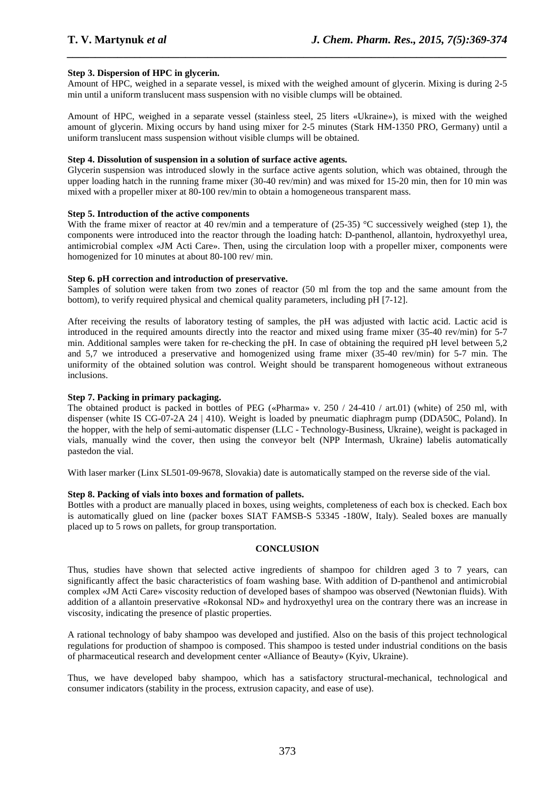#### **Step 3. Dispersion of HPC in glycerin.**

Amount of HPC, weighed in a separate vessel, is mixed with the weighed amount of glycerin. Mixing is during 2-5 min until a uniform translucent mass suspension with no visible clumps will be obtained.

*\_\_\_\_\_\_\_\_\_\_\_\_\_\_\_\_\_\_\_\_\_\_\_\_\_\_\_\_\_\_\_\_\_\_\_\_\_\_\_\_\_\_\_\_\_\_\_\_\_\_\_\_\_\_\_\_\_\_\_\_\_\_\_\_\_\_\_\_\_\_\_\_\_\_\_\_\_\_*

Amount of HPC, weighed in a separate vessel (stainless steel, 25 liters «Ukraine»), is mixed with the weighed amount of glycerin. Mixing occurs by hand using mixer for 2-5 minutes (Stark HM-1350 PRO, Germany) until a uniform translucent mass suspension without visible clumps will be obtained.

#### **Step 4. Dissolution of suspension in a solution of surface active agents.**

Glycerin suspension was introduced slowly in the surface active agents solution, which was obtained, through the upper loading hatch in the running frame mixer (30-40 rev/min) and was mixed for 15-20 min, then for 10 min was mixed with a propeller mixer at 80-100 rev/min to obtain a homogeneous transparent mass.

#### **Step 5. Introduction of the active components**

With the frame mixer of reactor at 40 rev/min and a temperature of (25-35) °C successively weighed (step 1), the components were introduced into the reactor through the loading hatch: D-panthenol, allantoin, hydroxyethyl urea, antimicrobial complex «JM Acti Care». Then, using the circulation loop with a propeller mixer, components were homogenized for 10 minutes at about 80-100 rev/ min.

#### **Step 6. pH correction and introduction of preservative.**

Samples of solution were taken from two zones of reactor (50 ml from the top and the same amount from the bottom), to verify required physical and chemical quality parameters, including pH [7-12].

After receiving the results of laboratory testing of samples, the pH was adjusted with lactic acid. Lactic acid is introduced in the required amounts directly into the reactor and mixed using frame mixer (35-40 rev/min) for 5-7 min. Additional samples were taken for re-checking the pH. In case of obtaining the required pH level between 5,2 and 5,7 we introduced a preservative and homogenized using frame mixer (35-40 rev/min) for 5-7 min. The uniformity of the obtained solution was control. Weight should be transparent homogeneous without extraneous inclusions.

#### **Step 7. Packing in primary packaging.**

The obtained product is packed in bottles of PEG («Pharma» v. 250 / 24-410 / art.01) (white) of 250 ml, with dispenser (white IS CG-07-2A 24 | 410). Weight is loaded by pneumatic diaphragm pump (DDA50C, Poland). In the hopper, with the help of semi-automatic dispenser (LLC - Technology-Business, Ukraine), weight is packaged in vials, manually wind the cover, then using the conveyor belt (NPP Intermash, Ukraine) labelis automatically pastedon the vial.

With laser marker (Linx SL501-09-9678, Slovakia) date is automatically stamped on the reverse side of the vial.

#### **Step 8. Packing of vials into boxes and formation of pallets.**

Bottles with a product are manually placed in boxes, using weights, completeness of each box is checked. Each box is automatically glued on line (packer boxes SIAT FAMSB-S 53345 -180W, Italy). Sealed boxes are manually placed up to 5 rows on pallets, for group transportation.

#### **CONCLUSION**

Thus, studies have shown that selected active ingredients of shampoo for children aged 3 to 7 years, can significantly affect the basic characteristics of foam washing base. With addition of D-panthenol and antimicrobial complex «JM Acti Care» viscosity reduction of developed bases of shampoo was observed (Newtonian fluids). With addition of a allantoin preservative «Rokonsal ND» and hydroxyethyl urea on the contrary there was an increase in viscosity, indicating the presence of plastic properties.

A rational technology of baby shampoo was developed and justified. Also on the basis of this project technological regulations for production of shampoo is composed. This shampoo is tested under industrial conditions on the basis of pharmaceutical research and development center «Alliance of Beauty» (Kyiv, Ukraine).

Thus, we have developed baby shampoo, which has a satisfactory structural-mechanical, technological and consumer indicators (stability in the process, extrusion capacity, and ease of use).